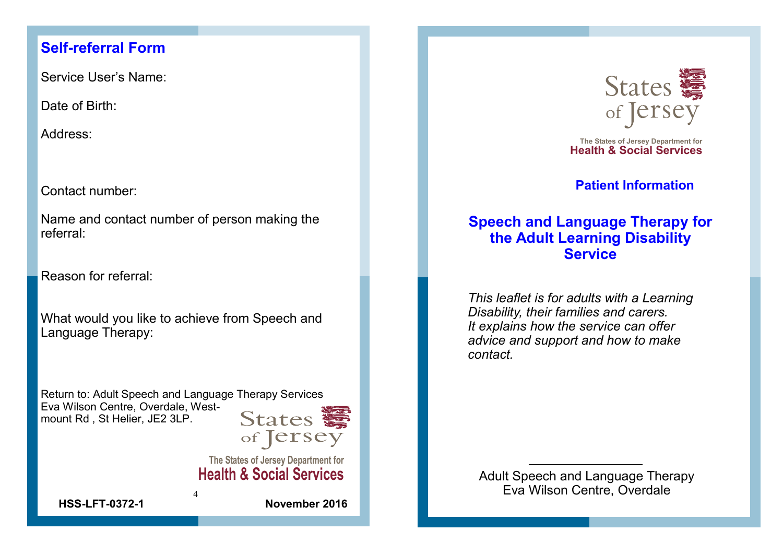## **Self-referral Form**

Service User's Name:

Date of Birth:

Address:

Contact number:

Name and contact number of person making the referral:

Reason for referral:

What would you like to achieve from Speech and Language Therapy:

Return to: Adult Speech and Language Therapy Services Eva Wilson Centre, Overdale, Westmount Rd , St Helier, JE2 3LP.

4



**The States of Jersey Department for**



The States of Jersey Department for<br>**Health & Social Services** 

**Patient Information**

# **Speech and Language Therapy for the Adult Learning Disability Service**

Health & Social Services<br>
Health & Social Services<br>
Health & Social Service<br>
Health Adult Learning Disability<br>
HSS<br>
HEART IN CONDITIES AND MANUS UNIVERTIAN SERVICE<br>
This leaflet is for adults with a Learning<br>
Disability, *This leaflet is for adults with a Learning Disability, their families and carers. It explains how the service can offer advice and support and how to make contact.*

**Health & Social Services** Adult Speech and Language Therapy Eva Wilson Centre, Overdale